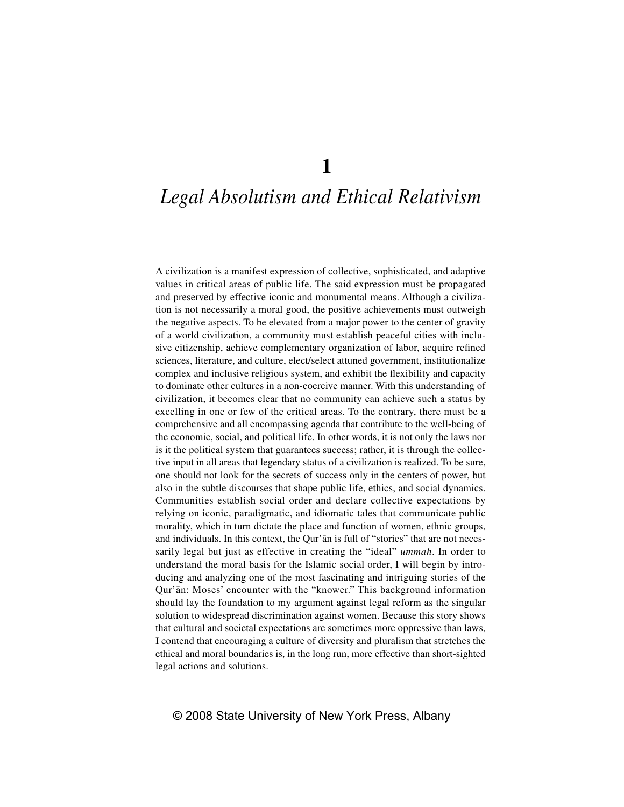# *Legal Absolutism and Ethical Relativism*

A civilization is a manifest expression of collective, sophisticated, and adaptive values in critical areas of public life. The said expression must be propagated and preserved by effective iconic and monumental means. Although a civilization is not necessarily a moral good, the positive achievements must outweigh the negative aspects. To be elevated from a major power to the center of gravity of a world civilization, a community must establish peaceful cities with inclusive citizenship, achieve complementary organization of labor, acquire refined sciences, literature, and culture, elect/select attuned government, institutionalize complex and inclusive religious system, and exhibit the flexibility and capacity to dominate other cultures in a non-coercive manner. With this understanding of civilization, it becomes clear that no community can achieve such a status by excelling in one or few of the critical areas. To the contrary, there must be a comprehensive and all encompassing agenda that contribute to the well-being of the economic, social, and political life. In other words, it is not only the laws nor is it the political system that guarantees success; rather, it is through the collective input in all areas that legendary status of a civilization is realized. To be sure, one should not look for the secrets of success only in the centers of power, but also in the subtle discourses that shape public life, ethics, and social dynamics. Communities establish social order and declare collective expectations by relying on iconic, paradigmatic, and idiomatic tales that communicate public morality, which in turn dictate the place and function of women, ethnic groups, and individuals. In this context, the Qur'an is full of "stories" that are not necessarily legal but just as effective in creating the "ideal" *ummah*. In order to understand the moral basis for the Islamic social order, I will begin by introducing and analyzing one of the most fascinating and intriguing stories of the Qur'an: Moses' encounter with the "knower." This background information should lay the foundation to my argument against legal reform as the singular solution to widespread discrimination against women. Because this story shows that cultural and societal expectations are sometimes more oppressive than laws, I contend that encouraging a culture of diversity and pluralism that stretches the ethical and moral boundaries is, in the long run, more effective than short-sighted legal actions and solutions.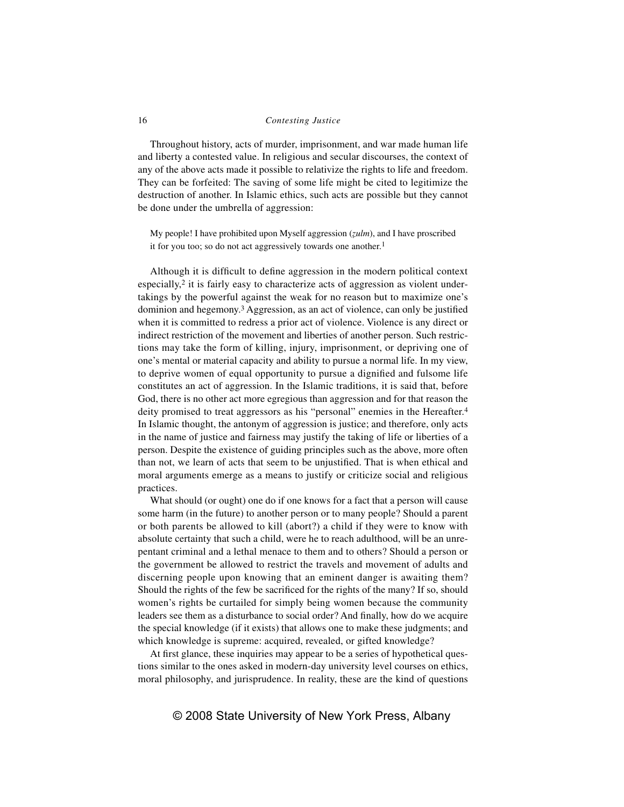Throughout history, acts of murder, imprisonment, and war made human life and liberty a contested value. In religious and secular discourses, the context of any of the above acts made it possible to relativize the rights to life and freedom. They can be forfeited: The saving of some life might be cited to legitimize the destruction of another. In Islamic ethics, such acts are possible but they cannot be done under the umbrella of aggression:

My people! I have prohibited upon Myself aggression (*÷ulm*), and I have proscribed it for you too; so do not act aggressively towards one another.<sup>1</sup>

Although it is difficult to define aggression in the modern political context especially,2 it is fairly easy to characterize acts of aggression as violent undertakings by the powerful against the weak for no reason but to maximize one's dominion and hegemony.3 Aggression, as an act of violence, can only be justified when it is committed to redress a prior act of violence. Violence is any direct or indirect restriction of the movement and liberties of another person. Such restrictions may take the form of killing, injury, imprisonment, or depriving one of one's mental or material capacity and ability to pursue a normal life. In my view, to deprive women of equal opportunity to pursue a dignified and fulsome life constitutes an act of aggression. In the Islamic traditions, it is said that, before God, there is no other act more egregious than aggression and for that reason the deity promised to treat aggressors as his "personal" enemies in the Hereafter.<sup>4</sup> In Islamic thought, the antonym of aggression is justice; and therefore, only acts in the name of justice and fairness may justify the taking of life or liberties of a person. Despite the existence of guiding principles such as the above, more often than not, we learn of acts that seem to be unjustified. That is when ethical and moral arguments emerge as a means to justify or criticize social and religious practices.

What should (or ought) one do if one knows for a fact that a person will cause some harm (in the future) to another person or to many people? Should a parent or both parents be allowed to kill (abort?) a child if they were to know with absolute certainty that such a child, were he to reach adulthood, will be an unrepentant criminal and a lethal menace to them and to others? Should a person or the government be allowed to restrict the travels and movement of adults and discerning people upon knowing that an eminent danger is awaiting them? Should the rights of the few be sacrificed for the rights of the many? If so, should women's rights be curtailed for simply being women because the community leaders see them as a disturbance to social order? And finally, how do we acquire the special knowledge (if it exists) that allows one to make these judgments; and which knowledge is supreme: acquired, revealed, or gifted knowledge?

At first glance, these inquiries may appear to be a series of hypothetical questions similar to the ones asked in modern-day university level courses on ethics, moral philosophy, and jurisprudence. In reality, these are the kind of questions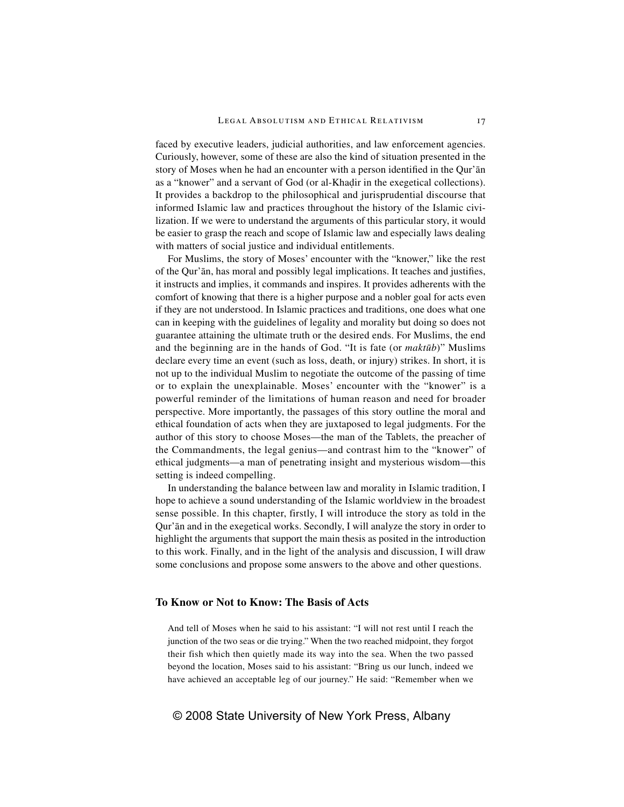faced by executive leaders, judicial authorities, and law enforcement agencies. Curiously, however, some of these are also the kind of situation presented in the story of Moses when he had an encounter with a person identified in the Qur'an as a "knower" and a servant of God (or al-Khadir in the exegetical collections). It provides a backdrop to the philosophical and jurisprudential discourse that informed Islamic law and practices throughout the history of the Islamic civilization. If we were to understand the arguments of this particular story, it would be easier to grasp the reach and scope of Islamic law and especially laws dealing with matters of social justice and individual entitlements.

For Muslims, the story of Moses' encounter with the "knower," like the rest of the Qur'an, has moral and possibly legal implications. It teaches and justifies, it instructs and implies, it commands and inspires. It provides adherents with the comfort of knowing that there is a higher purpose and a nobler goal for acts even if they are not understood. In Islamic practices and traditions, one does what one can in keeping with the guidelines of legality and morality but doing so does not guarantee attaining the ultimate truth or the desired ends. For Muslims, the end and the beginning are in the hands of God. "It is fate (or *maktüb*)" Muslims declare every time an event (such as loss, death, or injury) strikes. In short, it is not up to the individual Muslim to negotiate the outcome of the passing of time or to explain the unexplainable. Moses' encounter with the "knower" is a powerful reminder of the limitations of human reason and need for broader perspective. More importantly, the passages of this story outline the moral and ethical foundation of acts when they are juxtaposed to legal judgments. For the author of this story to choose Moses—the man of the Tablets, the preacher of the Commandments, the legal genius—and contrast him to the "knower" of ethical judgments—a man of penetrating insight and mysterious wisdom—this setting is indeed compelling.

In understanding the balance between law and morality in Islamic tradition, I hope to achieve a sound understanding of the Islamic worldview in the broadest sense possible. In this chapter, firstly, I will introduce the story as told in the Qur'an and in the exegetical works. Secondly, I will analyze the story in order to highlight the arguments that support the main thesis as posited in the introduction to this work. Finally, and in the light of the analysis and discussion, I will draw some conclusions and propose some answers to the above and other questions.

## **To Know or Not to Know: The Basis of Acts**

And tell of Moses when he said to his assistant: "I will not rest until I reach the junction of the two seas or die trying." When the two reached midpoint, they forgot their fish which then quietly made its way into the sea. When the two passed beyond the location, Moses said to his assistant: "Bring us our lunch, indeed we have achieved an acceptable leg of our journey." He said: "Remember when we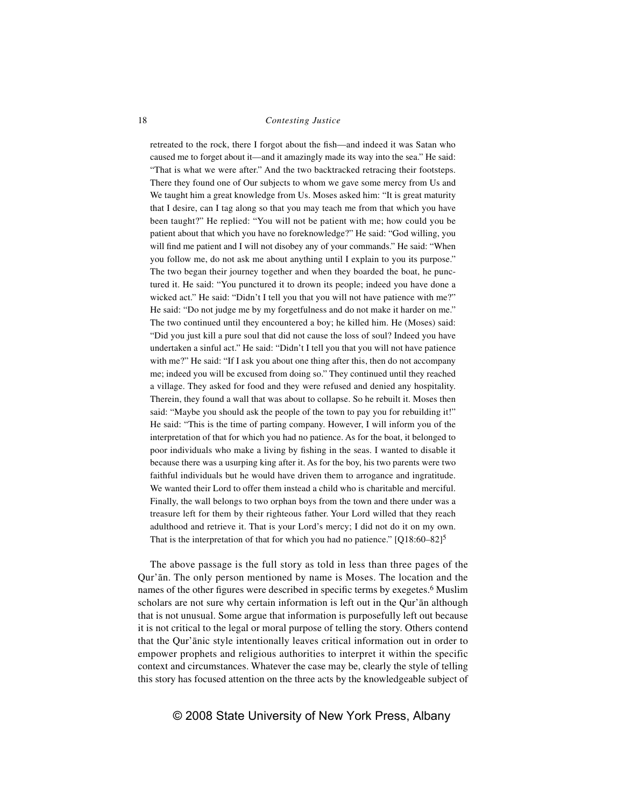#### 18 *Contesting Justice*

retreated to the rock, there I forgot about the fish—and indeed it was Satan who caused me to forget about it—and it amazingly made its way into the sea." He said: "That is what we were after." And the two backtracked retracing their footsteps. There they found one of Our subjects to whom we gave some mercy from Us and We taught him a great knowledge from Us. Moses asked him: "It is great maturity that I desire, can I tag along so that you may teach me from that which you have been taught?" He replied: "You will not be patient with me; how could you be patient about that which you have no foreknowledge?" He said: "God willing, you will find me patient and I will not disobey any of your commands." He said: "When you follow me, do not ask me about anything until I explain to you its purpose." The two began their journey together and when they boarded the boat, he punctured it. He said: "You punctured it to drown its people; indeed you have done a wicked act." He said: "Didn't I tell you that you will not have patience with me?" He said: "Do not judge me by my forgetfulness and do not make it harder on me." The two continued until they encountered a boy; he killed him. He (Moses) said: "Did you just kill a pure soul that did not cause the loss of soul? Indeed you have undertaken a sinful act." He said: "Didn't I tell you that you will not have patience with me?" He said: "If I ask you about one thing after this, then do not accompany me; indeed you will be excused from doing so." They continued until they reached a village. They asked for food and they were refused and denied any hospitality. Therein, they found a wall that was about to collapse. So he rebuilt it. Moses then said: "Maybe you should ask the people of the town to pay you for rebuilding it!" He said: "This is the time of parting company. However, I will inform you of the interpretation of that for which you had no patience. As for the boat, it belonged to poor individuals who make a living by fishing in the seas. I wanted to disable it because there was a usurping king after it. As for the boy, his two parents were two faithful individuals but he would have driven them to arrogance and ingratitude. We wanted their Lord to offer them instead a child who is charitable and merciful. Finally, the wall belongs to two orphan boys from the town and there under was a treasure left for them by their righteous father. Your Lord willed that they reach adulthood and retrieve it. That is your Lord's mercy; I did not do it on my own. That is the interpretation of that for which you had no patience." [Q18:60–82]<sup>5</sup>

The above passage is the full story as told in less than three pages of the Qur'an. The only person mentioned by name is Moses. The location and the names of the other figures were described in specific terms by exegetes.6 Muslim scholars are not sure why certain information is left out in the Qur'an although that is not unusual. Some argue that information is purposefully left out because it is not critical to the legal or moral purpose of telling the story. Others contend that the Qur'anic style intentionally leaves critical information out in order to empower prophets and religious authorities to interpret it within the specific context and circumstances. Whatever the case may be, clearly the style of telling this story has focused attention on the three acts by the knowledgeable subject of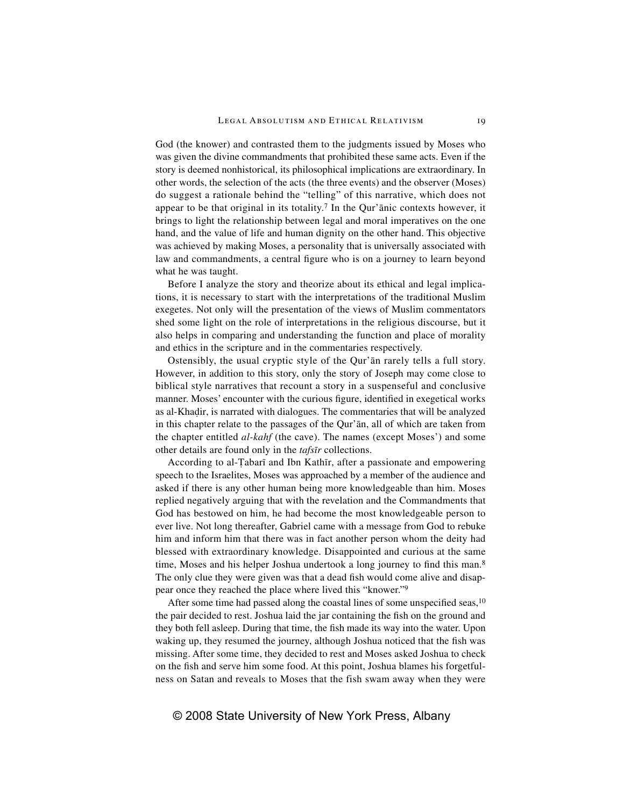God (the knower) and contrasted them to the judgments issued by Moses who was given the divine commandments that prohibited these same acts. Even if the story is deemed nonhistorical, its philosophical implications are extraordinary. In other words, the selection of the acts (the three events) and the observer (Moses) do suggest a rationale behind the "telling" of this narrative, which does not appear to be that original in its totality.<sup>7</sup> In the Qur' $\bar{a}$ nic contexts however, it brings to light the relationship between legal and moral imperatives on the one hand, and the value of life and human dignity on the other hand. This objective was achieved by making Moses, a personality that is universally associated with law and commandments, a central figure who is on a journey to learn beyond what he was taught.

Before I analyze the story and theorize about its ethical and legal implications, it is necessary to start with the interpretations of the traditional Muslim exegetes. Not only will the presentation of the views of Muslim commentators shed some light on the role of interpretations in the religious discourse, but it also helps in comparing and understanding the function and place of morality and ethics in the scripture and in the commentaries respectively.

Ostensibly, the usual cryptic style of the Qur'an rarely tells a full story. However, in addition to this story, only the story of Joseph may come close to biblical style narratives that recount a story in a suspenseful and conclusive manner. Moses' encounter with the curious figure, identified in exegetical works as al-Khaḍir, is narrated with dialogues. The commentaries that will be analyzed in this chapter relate to the passages of the Qur'an, all of which are taken from the chapter entitled *al-kahf* (the cave). The names (except Moses') and some other details are found only in the *tafsır* collections.

According to al-Tabarī and Ibn Kathīr, after a passionate and empowering speech to the Israelites, Moses was approached by a member of the audience and asked if there is any other human being more knowledgeable than him. Moses replied negatively arguing that with the revelation and the Commandments that God has bestowed on him, he had become the most knowledgeable person to ever live. Not long thereafter, Gabriel came with a message from God to rebuke him and inform him that there was in fact another person whom the deity had blessed with extraordinary knowledge. Disappointed and curious at the same time, Moses and his helper Joshua undertook a long journey to find this man.<sup>8</sup> The only clue they were given was that a dead fish would come alive and disappear once they reached the place where lived this "knower."9

After some time had passed along the coastal lines of some unspecified seas,<sup>10</sup> the pair decided to rest. Joshua laid the jar containing the fish on the ground and they both fell asleep. During that time, the fish made its way into the water. Upon waking up, they resumed the journey, although Joshua noticed that the fish was missing. After some time, they decided to rest and Moses asked Joshua to check on the fish and serve him some food. At this point, Joshua blames his forgetfulness on Satan and reveals to Moses that the fish swam away when they were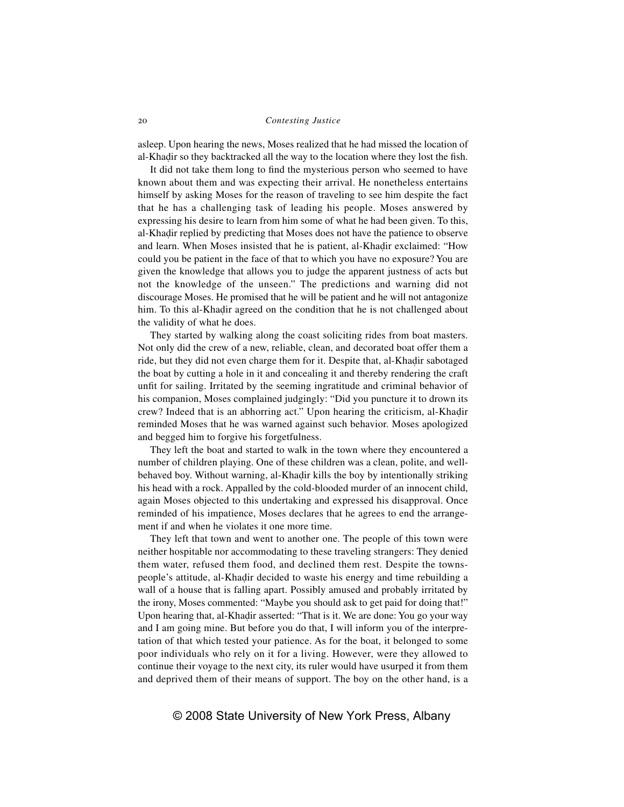asleep. Upon hearing the news, Moses realized that he had missed the location of al-Khadir so they backtracked all the way to the location where they lost the fish.

It did not take them long to find the mysterious person who seemed to have known about them and was expecting their arrival. He nonetheless entertains himself by asking Moses for the reason of traveling to see him despite the fact that he has a challenging task of leading his people. Moses answered by expressing his desire to learn from him some of what he had been given. To this, al-Kha∂ir replied by predicting that Moses does not have the patience to observe and learn. When Moses insisted that he is patient, al-Khadir exclaimed: "How could you be patient in the face of that to which you have no exposure? You are given the knowledge that allows you to judge the apparent justness of acts but not the knowledge of the unseen." The predictions and warning did not discourage Moses. He promised that he will be patient and he will not antagonize him. To this al-Khadir agreed on the condition that he is not challenged about the validity of what he does.

They started by walking along the coast soliciting rides from boat masters. Not only did the crew of a new, reliable, clean, and decorated boat offer them a ride, but they did not even charge them for it. Despite that, al-Khadir sabotaged the boat by cutting a hole in it and concealing it and thereby rendering the craft unfit for sailing. Irritated by the seeming ingratitude and criminal behavior of his companion, Moses complained judgingly: "Did you puncture it to drown its crew? Indeed that is an abhorring act." Upon hearing the criticism, al-Khadir reminded Moses that he was warned against such behavior. Moses apologized and begged him to forgive his forgetfulness.

They left the boat and started to walk in the town where they encountered a number of children playing. One of these children was a clean, polite, and wellbehaved boy. Without warning, al-Khadir kills the boy by intentionally striking his head with a rock. Appalled by the cold-blooded murder of an innocent child, again Moses objected to this undertaking and expressed his disapproval. Once reminded of his impatience, Moses declares that he agrees to end the arrangement if and when he violates it one more time.

They left that town and went to another one. The people of this town were neither hospitable nor accommodating to these traveling strangers: They denied them water, refused them food, and declined them rest. Despite the townspeople's attitude, al-Khaḍir decided to waste his energy and time rebuilding a wall of a house that is falling apart. Possibly amused and probably irritated by the irony, Moses commented: "Maybe you should ask to get paid for doing that!" Upon hearing that, al-Khadir asserted: "That is it. We are done: You go your way and I am going mine. But before you do that, I will inform you of the interpretation of that which tested your patience. As for the boat, it belonged to some poor individuals who rely on it for a living. However, were they allowed to continue their voyage to the next city, its ruler would have usurped it from them and deprived them of their means of support. The boy on the other hand, is a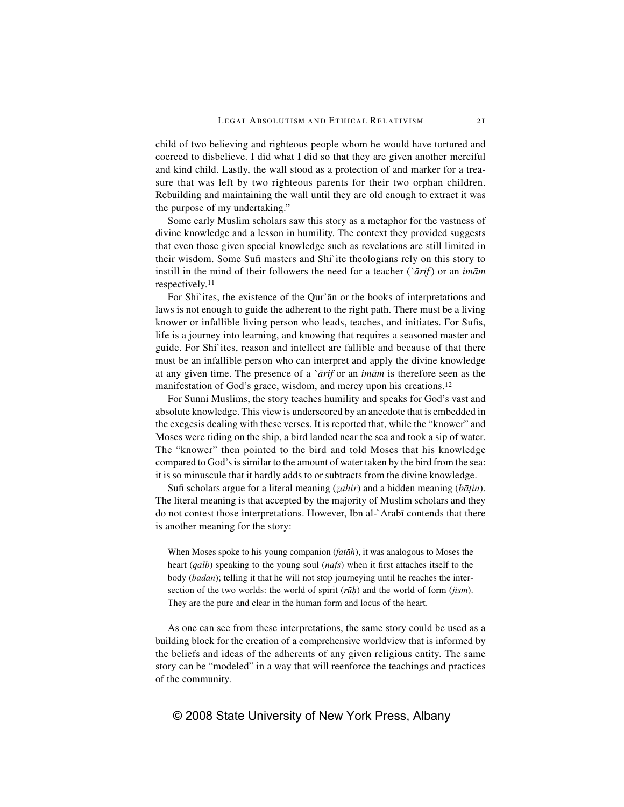child of two believing and righteous people whom he would have tortured and coerced to disbelieve. I did what I did so that they are given another merciful and kind child. Lastly, the wall stood as a protection of and marker for a treasure that was left by two righteous parents for their two orphan children. Rebuilding and maintaining the wall until they are old enough to extract it was the purpose of my undertaking."

Some early Muslim scholars saw this story as a metaphor for the vastness of divine knowledge and a lesson in humility. The context they provided suggests that even those given special knowledge such as revelations are still limited in their wisdom. Some Sufi masters and Shi`ite theologians rely on this story to instill in the mind of their followers the need for a teacher ( $\arcsin \arrows aim\bar{a}m$ ) respectively.11

For Shi`ites, the existence of the Qur'an or the books of interpretations and laws is not enough to guide the adherent to the right path. There must be a living knower or infallible living person who leads, teaches, and initiates. For Sufis, life is a journey into learning, and knowing that requires a seasoned master and guide. For Shi`ites, reason and intellect are fallible and because of that there must be an infallible person who can interpret and apply the divine knowledge at any given time. The presence of a *`arif* or an *imam* is therefore seen as the manifestation of God's grace, wisdom, and mercy upon his creations.12

For Sunni Muslims, the story teaches humility and speaks for God's vast and absolute knowledge. This view is underscored by an anecdote that is embedded in the exegesis dealing with these verses. It is reported that, while the "knower" and Moses were riding on the ship, a bird landed near the sea and took a sip of water. The "knower" then pointed to the bird and told Moses that his knowledge compared to God's is similar to the amount of water taken by the bird from the sea: it is so minuscule that it hardly adds to or subtracts from the divine knowledge.

Sufi scholars argue for a literal meaning (*zahir*) and a hidden meaning (*bātin*). The literal meaning is that accepted by the majority of Muslim scholars and they do not contest those interpretations. However, Ibn al-`Arabı contends that there is another meaning for the story:

When Moses spoke to his young companion (*fatah*), it was analogous to Moses the heart (*qalb*) speaking to the young soul (*nafs*) when it first attaches itself to the body (*badan*); telling it that he will not stop journeying until he reaches the intersection of the two worlds: the world of spirit (*rūh*) and the world of form (*jism*). They are the pure and clear in the human form and locus of the heart.

As one can see from these interpretations, the same story could be used as a building block for the creation of a comprehensive worldview that is informed by the beliefs and ideas of the adherents of any given religious entity. The same story can be "modeled" in a way that will reenforce the teachings and practices of the community.

# © 2008 State University of New York Press, Albany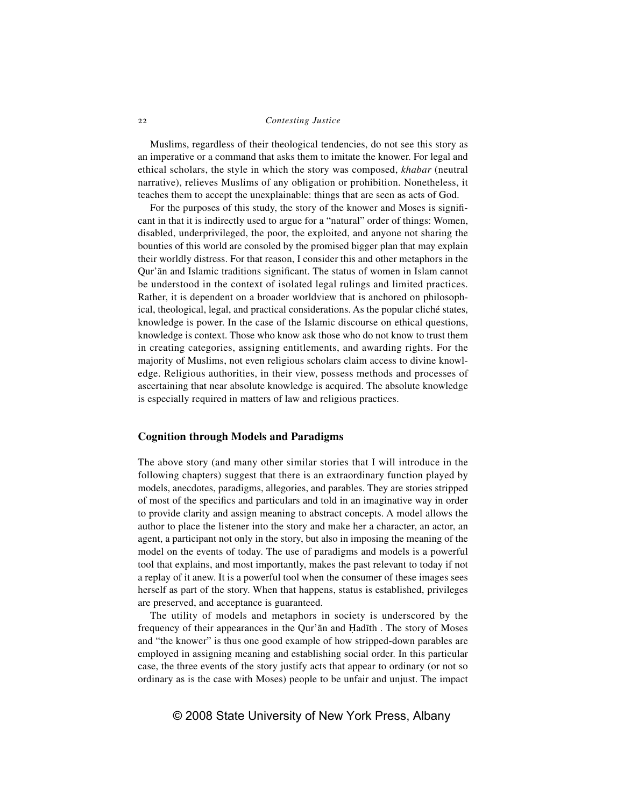Muslims, regardless of their theological tendencies, do not see this story as an imperative or a command that asks them to imitate the knower. For legal and ethical scholars, the style in which the story was composed, *khabar* (neutral narrative), relieves Muslims of any obligation or prohibition. Nonetheless, it teaches them to accept the unexplainable: things that are seen as acts of God.

For the purposes of this study, the story of the knower and Moses is significant in that it is indirectly used to argue for a "natural" order of things: Women, disabled, underprivileged, the poor, the exploited, and anyone not sharing the bounties of this world are consoled by the promised bigger plan that may explain their worldly distress. For that reason, I consider this and other metaphors in the Qur'an and Islamic traditions significant. The status of women in Islam cannot be understood in the context of isolated legal rulings and limited practices. Rather, it is dependent on a broader worldview that is anchored on philosophical, theological, legal, and practical considerations. As the popular cliché states, knowledge is power. In the case of the Islamic discourse on ethical questions, knowledge is context. Those who know ask those who do not know to trust them in creating categories, assigning entitlements, and awarding rights. For the majority of Muslims, not even religious scholars claim access to divine knowledge. Religious authorities, in their view, possess methods and processes of ascertaining that near absolute knowledge is acquired. The absolute knowledge is especially required in matters of law and religious practices.

### **Cognition through Models and Paradigms**

The above story (and many other similar stories that I will introduce in the following chapters) suggest that there is an extraordinary function played by models, anecdotes, paradigms, allegories, and parables. They are stories stripped of most of the specifics and particulars and told in an imaginative way in order to provide clarity and assign meaning to abstract concepts. A model allows the author to place the listener into the story and make her a character, an actor, an agent, a participant not only in the story, but also in imposing the meaning of the model on the events of today. The use of paradigms and models is a powerful tool that explains, and most importantly, makes the past relevant to today if not a replay of it anew. It is a powerful tool when the consumer of these images sees herself as part of the story. When that happens, status is established, privileges are preserved, and acceptance is guaranteed.

The utility of models and metaphors in society is underscored by the frequency of their appearances in the Qur'an and Hadith . The story of Moses and "the knower" is thus one good example of how stripped-down parables are employed in assigning meaning and establishing social order. In this particular case, the three events of the story justify acts that appear to ordinary (or not so ordinary as is the case with Moses) people to be unfair and unjust. The impact